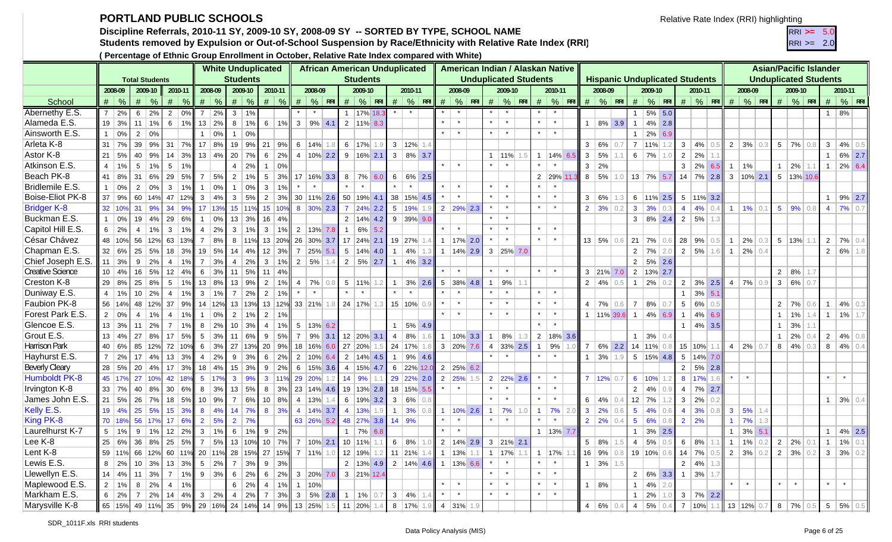# **PORTLAND PUBLIC SCHOOLS**

**Total Students**

Discipline Referrals, 2010-11 SY, 2009-10 SY, 2008-09 SY -- SORTED BY TYPE, SCHOOL NAME

Students removed by Expulsion or Out-of-School Suspension by Race/Ethnicity with Relative Rate Index (RRI) REPRESSERI RRI >= 2.0

**African American Unduplicated** 

**( Percentage of Ethnic Group Enrollment in October, Relative Rate Index compared with White)**

**White Unduplicated Students**

|                        |                | 2008-09       |                  |                  | 2009-10   2010-11                 |                | 2008-09                  |                            | 2009-10       | 2010-11        |                   |                       | 2008-09       |                                  |                   | 2009-10                |                        |                | 2010-11                |                  |                        | 2008-09 |                                                                        |         | 2009-10               |                | 2010-11                  |                | 2008-09               |                  |                                            | 2009-10 |     |                                 | 2010-11    |           |                | 2008-09                                        |     |              | 2009-10                 |     |                | 2010-11               |           |
|------------------------|----------------|---------------|------------------|------------------|-----------------------------------|----------------|--------------------------|----------------------------|---------------|----------------|-------------------|-----------------------|---------------|----------------------------------|-------------------|------------------------|------------------------|----------------|------------------------|------------------|------------------------|---------|------------------------------------------------------------------------|---------|-----------------------|----------------|--------------------------|----------------|-----------------------|------------------|--------------------------------------------|---------|-----|---------------------------------|------------|-----------|----------------|------------------------------------------------|-----|--------------|-------------------------|-----|----------------|-----------------------|-----------|
| School                 |                | $\#$ %        | $\#$ %           |                  | $\#$ %                            |                | $\#$ %                   | $\#$ %                     |               |                | $\#$ %            |                       |               | $\#$ % RRI $\#$ % RRI            |                   |                        |                        |                |                        |                  |                        |         | $\#$ % RRI $\#$ % RRI                                                  |         | $\#$ % RRI            |                |                          |                |                       |                  | $\#$ % RRI # % RRI # % RRI # % RRI # % RRI |         |     |                                 |            |           |                | $\#$ % RRI $\#$ % RRI                          |     |              |                         |     |                | $\#$ % RRI            |           |
| Abernethy E.S.         |                | $7 \mid 2\%$  | 6                | 2%               | $2   0\%  $                       | $\overline{7}$ | 2%                       | 3                          | 1%            |                |                   |                       | $\star$       |                                  |                   | 1 17% 18.3             |                        |                | $\star$                |                  |                        |         |                                                                        | $\star$ |                       | $\star$        |                          |                |                       |                  |                                            | 5% 5.0  |     |                                 |            |           |                |                                                |     |              |                         |     |                | $1 \t 8\%$            |           |
| Alameda E.S.           |                | $19 \mid 3\%$ | $11$ 1%          |                  | $6 \mid 1\% \mid$                 |                | $13 \mid 2\%$            | 8                          | 1%            |                | $6 \mid 1\%$      | $3 \mid 9\% \mid 4.1$ |               |                                  |                   | $2 \mid 11\% \mid 8.3$ |                        |                |                        |                  |                        |         |                                                                        |         | $\star$               | $\star$        | $\star$                  |                | $1   8\%   3.9$       |                  |                                            | 4% 2.8  |     |                                 |            |           |                |                                                |     |              |                         |     |                |                       |           |
| Ainsworth E.S.         |                | $1 \mid 0\%$  | 2                | 0%               |                                   | $\mathbf{1}$   | 0%                       | $\mathbf{1}$               | 0%            |                |                   |                       |               |                                  |                   |                        |                        |                |                        |                  |                        |         |                                                                        |         |                       |                |                          |                |                       |                  | $1 \mid 2\% \mid 6.9$                      |         |     |                                 |            |           |                |                                                |     |              |                         |     |                |                       |           |
| Arleta K-8             |                | $31$ 7%       | 39               | 9%               | $31 \mid 7\% \mid$                |                | $17$ 8%                  | 19                         | 9%            | $21 \mid$      | 9%                |                       | 6 14%         |                                  |                   | $6$   17%   1.9        |                        |                | $3 \mid 12\% \mid 1.4$ |                  |                        |         |                                                                        |         |                       |                |                          |                | $3   6\%   0.7$       |                  | 7 11%                                      |         |     | 3 <sup>1</sup>                  | $ 4\% $    | 0.5       |                | $2 \mid 3\% \mid$                              | 0.3 |              | $5 \mid 7\%$            |     | 3 <sup>1</sup> |                       | $4\%$ 0.5 |
| Astor K-8              | 21             | 5%            | 40   9%          |                  | 14 3%                             |                | $13 \mid 4\%$            | 20                         | 7%            |                | $6 \mid 2\%$      |                       |               | $4 10\% 2.2 $                    |                   |                        | $9 16\% 2.1$           |                |                        | $3   8\%   3.7 $ |                        |         |                                                                        |         | 1   11%               | $\overline{1}$ | 14% 6.5                  | 3 <sup>1</sup> | 5%                    |                  | 6   7%                                     |         |     | 2                               | $ 2\% $    |           |                |                                                |     |              |                         |     | $\mathbf{1}$   |                       | 6% 2.7    |
| Atkinson E.S.          |                | $4 \mid 1\%$  | 5 <sup>5</sup>   | 1%               | $5 \mid 1\%$                      |                |                          | $\overline{4}$             | 2%            |                | $1 \ 0\%$         |                       |               |                                  |                   |                        |                        |                |                        |                  |                        |         |                                                                        |         |                       |                |                          |                | $3 \mid 2\%$          |                  |                                            |         |     | $\mathbf{3}$                    | 2% 6.5     |           |                | $1 \mid 1\%$                                   |     | $\mathbf{1}$ | $ 2\% $                 |     |                |                       | $2\%$ 6.4 |
| Beach PK-8             |                | 41 8%         | 31               | 6%               | 29 5%                             | $\overline{7}$ | 5%                       | $\overline{2}$             | 1%            |                | $5 \mid 3\%$      |                       |               | $17 16\% 3.3 8 7\% 6.0$          |                   |                        |                        |                |                        | $6   6\%   2.5 $ |                        |         |                                                                        |         |                       | 2              | 29% 11.                  |                | $8   5\%   1.0$       |                  | 13 7% 5.7 14 7% 2.8                        |         |     |                                 |            |           |                | $3 10\% 2.1$                                   |     |              | $5 \mid 13\% \mid 10.6$ |     |                |                       |           |
| <b>Bridlemile E.S.</b> |                | $1 \mid 0\%$  | 2                | 0%               | $3 \mid 1\%$                      | $\mathbf{1}$   | 0%                       | $\overline{1}$             | 0%            | $\mathbf{3}$   | 1%                |                       |               |                                  |                   |                        |                        |                |                        |                  |                        |         |                                                                        | $\star$ |                       | $\star$        | $\star$                  |                |                       |                  |                                            |         |     |                                 |            |           |                |                                                |     |              |                         |     |                |                       |           |
| Boise-Eliot PK-8       |                | 37   9%       | 60 14%           |                  | 47 12%                            | 3 <sup>1</sup> | $4\%$ 3                  |                            | 5%            |                | $2 \mid 3\%$      |                       |               | 30 11% 2.6 50 19% 4.1 38 15% 4.5 |                   |                        |                        |                |                        |                  |                        |         |                                                                        |         |                       | $\star$        | $\star$                  |                | $3   6\%   1.3$       |                  | $6$ 11% 2.5 5 11% 3.2                      |         |     |                                 |            |           |                |                                                |     |              |                         |     |                | $1   9\%   2.7$       |           |
| <b>Bridger K-8</b>     |                | 32 10%        | 31               | 9%               | 34   9%                           |                | 17 13% 15 11%            |                            |               |                | 15 10%            |                       |               | 8 30% 2.3                        |                   |                        | $7$ 24% 2.2            |                |                        |                  | 5 19% 1.9 2 29% 2.3    |         |                                                                        |         |                       | $\star$        |                          |                | $2 \mid 3\% \mid 0.2$ |                  | $3 \mid 3\%$                               |         | 0.3 | $\overline{4}$                  |            | $4\%$ 0.4 |                | $1 \mid 1\% \mid 0.1 \mid 5 \mid 9\% \mid 0.8$ |     |              |                         |     |                | $4$ 7% 0.7            |           |
| Buckman E.S.           |                | $1 \mid 0\%$  |                  | 19   4%          | 29 6%                             | $\mathbf{1}$   | 0%                       | 13 3%                      |               |                | $16 \mid 4\%$     |                       |               |                                  |                   |                        | $2   14\%   4.2  $     |                |                        | $9 39\% 9.0$     |                        |         |                                                                        |         |                       |                |                          |                |                       |                  |                                            |         |     | $3   8\%   2.4   2   5\%   1.3$ |            |           |                |                                                |     |              |                         |     |                |                       |           |
| Capitol Hill E.S.      |                | $6 \mid 2\%$  | 4 <sup>1</sup>   | 1%               | $3 \mid 1\%$                      | 4              | 2%                       | $\overline{\phantom{a}}$ 3 | 1%            |                | 3   1%            |                       |               | $2 \mid 13\% \mid 7.8 \mid 1$    |                   | 6% 5.2                 |                        |                |                        |                  |                        |         |                                                                        |         | $\star$               | $\star$        | $\star$                  |                |                       |                  |                                            |         |     |                                 |            |           |                |                                                |     |              |                         |     |                |                       |           |
| César Chávez           |                | 48 10%        | 56 12%           |                  | 63 13%                            | $\overline{7}$ | 8%                       |                            | 8 11%         |                | 13 20%            |                       |               | 26 30% 3.7                       |                   |                        | $17$ 24% 2.1           |                |                        | 19 27% 1.4       |                        |         | $1 \mid 17\% \mid 2.0$                                                 |         |                       |                |                          |                | $13   5\%   0.6$      |                  | $21$ 7%                                    |         | 0.6 | 28 9%                           |            | 0.5       | $\mathbf{1}$   | 2%                                             | 0.3 |              | $5 \mid 13\% \mid 1.1$  |     |                | $2 \mid 7\% \mid 0.4$ |           |
| Chapman E.S.           |                | 32 6%         | $25 \,   \, 5\%$ |                  | $18$ 3%                           |                | $19 \mid 5\%$            |                            | $14 \mid 4\%$ |                | $12 \mid 3\%$     |                       |               | $7 25\% 5.1$                     |                   |                        | $5 14\% 4.0$           |                |                        | $1   4\%   1.3$  |                        |         | $1 \mid 14\% \mid 2.9$                                                 |         | $3 25\% 7.0$          |                |                          |                |                       |                  | $2   7\%  $                                |         |     | $2   5\% $                      |            | 1.6       | 1              | $2\%$ 0.4                                      |     |              |                         |     |                | $2   6\%   1.8$       |           |
| Chief Joseph E.S.      |                | 11   3%       | $9 \mid 2\%$     |                  | $4 \mid 1\%$                      | 7 <sup>1</sup> | 3%                       | $\overline{4}$             | 2%            |                | 3   1%            |                       |               | $2   5\%   1.4$                  |                   |                        | $2 5\% 2.7$            |                |                        | $1   4\%   3.2 $ |                        |         |                                                                        |         |                       |                |                          |                |                       |                  | $2 5\% 2.6$                                |         |     |                                 |            |           |                |                                                |     |              |                         |     |                |                       |           |
| Creative Science       |                | 10 4%         | 16 5%            |                  | $12 \mid 4\% \mid$                |                | $6 \mid 3\%$             | 11   5%                    |               | 11   4%        |                   |                       |               |                                  |                   |                        |                        |                |                        |                  |                        |         |                                                                        |         |                       |                | $\star$ $\star$          |                |                       | $3$ 21% 7.0      | $2 13\% 2.7$                               |         |     |                                 |            |           |                |                                                |     |              | $2   8\%   1.7$         |     |                |                       |           |
| Creston K-8            |                | 29 8%         | 25 8%            |                  | $5$   1%   13   8%   13   9%      |                |                          |                            |               |                | $2 \mid 1\%$      |                       |               | $4$ 7% 0.8                       |                   |                        | $5 \mid 11\% \mid 1.2$ | $\overline{1}$ |                        | $3\%$ 2.6 5      |                        |         | 38% 4.8                                                                |         | $9\%$ 1.1             |                |                          |                | $2   4\%   0.5$       |                  | $1 \mid 2\%$                               |         | 0.2 | $\overline{2}$                  |            |           |                | $3\%$ 2.5 4 7%                                 | 0.9 | $\mathbf{3}$ | 6% 0.7                  |     |                |                       |           |
| Duniway E.S.           |                | 4   1%        | $10 \mid 2\%$    |                  | $4 \mid 1\%$                      | 3 <sup>1</sup> | 1%                       | $\overline{7}$             | 2%            |                | $2 \mid 1\%$      |                       | $\star$       |                                  |                   |                        |                        |                |                        |                  |                        |         |                                                                        |         |                       |                | $\star$                  |                |                       |                  |                                            |         |     | $\mathbf{1}$                    | $3\%$ 5.1  |           |                |                                                |     |              |                         |     |                |                       |           |
| Faubion PK-8           |                | 56 14%        |                  | 48 12%           | $37$ 9%                           |                | 14 12% 13 13%            |                            |               |                | 13 12% 33 21% 1.8 |                       |               |                                  | $24   17\%   1.3$ |                        |                        |                | $15$ 10% 0.9           |                  |                        |         |                                                                        |         |                       |                |                          |                | 4 7% 0.6              |                  | $7   8\%$                                  |         |     | $5\overline{)}$                 | 6%         | 0.5       |                |                                                |     | $2^{\circ}$  | 7%                      |     | 1 <sup>1</sup> |                       | $14%$ 0.3 |
| Forest Park E.S.       |                | $2 \mid 0\%$  | 4 <sup>1</sup>   | 1%               | $4 \mid 1\%$                      | $\mathbf{1}$   | 0%                       | $\overline{2}$             | 1%            |                | $2 \mid 1\%$      |                       |               |                                  |                   |                        |                        |                |                        |                  |                        |         |                                                                        |         |                       | $\star$        | $\star$                  |                | 1 11% 39.6            |                  | $1   4\%   6.9$                            |         |     | $\mathbf{1}$                    | 4% 6.9     |           |                |                                                |     | $\mathbf{1}$ | $1\%$                   | 1.4 | 1              |                       | $1\%$ 1.7 |
| Glencoe E.S.           |                | $13 \mid 3\%$ | 11               | 2%               | 7   1%                            | 8              | 2%                       |                            | 10 3%         |                | 4   1%            |                       |               | $5$ 13% 6.2                      |                   |                        |                        |                |                        | $1   5\%   4.9$  |                        |         |                                                                        |         |                       |                |                          |                |                       |                  |                                            |         |     | $\mathbf{1}$                    | 4% 3.5     |           |                |                                                |     | 1            | 3%                      |     |                |                       |           |
| Grout E.S.             |                | $13 \mid 4\%$ | 27               | 8%               | $17 \,   \, 5\%$                  | 5 <sup>1</sup> | 3%                       | 11   6%                    |               |                | 9   5%            | 7 <sup>1</sup>        |               | $9\%$ 3.1                        |                   |                        | $12$ 20% 3.1           |                |                        |                  |                        |         | $4 \,   \, 8\% \,   \, 1.6 \,   \, 1 \,   \, 10\% \,   \, 3.3 \,   \,$ |         | 8%                    |                | $2 18\% 3.6$             |                |                       |                  | $1 \mid 3\% $                              |         |     |                                 |            |           |                |                                                |     | $\mathbf{1}$ | 2%                      | 0.4 |                | $2   4\%   0.8$       |           |
| Harrison Park          |                | 40 6%         | 85 12%           |                  | 72 10%                            |                | $6 \mid 3\%$             |                            | 27 13%        |                | 20   9%           |                       |               | 18 16% 6.0 27 20% 1.5            |                   |                        |                        |                |                        |                  |                        |         | 24 $ 17\% $ 1.8 3 20% 7.6                                              |         | 4 33% 2.5             | $\overline{1}$ | 9%                       |                |                       | $7   6\%   2.2 $ | 14 11% 0.8                                 |         |     | 15 10% 1.1                      |            |           |                | $4$   2%   0.7                                 |     | 8            | $4\%$ 0.3               |     |                | $8   4\%   0.4$       |           |
| Hayhurst E.S.          | $\overline{7}$ | 2%            | $17 \mid 4\%$    |                  | 13 3%                             | $\vert$ 4      | 2%                       | l 9                        | 3%            |                | $6 \mid 2\%$      |                       |               | $2 10\% 6.4$                     |                   |                        | $2 14\% 4.5 $          |                |                        | $1   9\%   4.6$  |                        |         |                                                                        | $\star$ | $\star$               | $\star$        | $\star$                  |                | $1 \mid 3\% \mid 1.9$ |                  | $5 15\% 4.8 5 14\% 7.0$                    |         |     |                                 |            |           |                |                                                |     |              |                         |     |                |                       |           |
| <b>Beverly Cleary</b>  |                | 28 5%         | $20 \mid 4\%$    |                  | $17$ 3% 18 4% 15 3%               |                |                          |                            |               |                | $9 \mid 2\%$      |                       |               | 6 $15\%$ 3.6 4 15% 4.7           |                   |                        |                        |                |                        |                  | 6 22% 12.0 2 25% 6.2   |         |                                                                        |         |                       |                |                          |                |                       |                  |                                            |         |     | $2   5\%   2.8$                 |            |           |                |                                                |     |              |                         |     |                |                       |           |
| Humboldt PK-8          |                | 45 17%        | 27 10%           |                  | 42 18%                            |                | $5 \mid 17\% \mid 3$     |                            | 9%            |                | $3 \mid 11\%$     |                       |               | 29 20% 1.2                       |                   | 14 9%                  | 1.1                    |                |                        | 29 22% 2.0       |                        |         | $2$ 25% 1.5                                                            |         | 2 22% 2.6             |                |                          |                | $7$   12% 0.7         |                  | 6 10% 1.2                                  |         |     | 8 17% 1.6                       |            |           |                |                                                |     |              |                         |     |                |                       |           |
| Irvington K-8          |                | 33   7%       |                  | $40 \,   \, 8\%$ | 30 6%                             |                | 8 3% 13 5%               |                            |               |                | $8 \mid 3\%$      |                       |               | 23 14% 4.6 19 13% 2.8            |                   |                        |                        |                |                        | 18 15% 5.5       |                        |         |                                                                        |         |                       |                |                          |                |                       |                  | $2   4\%  $                                |         |     | $\overline{4}$                  | 7% 2.7     |           |                |                                                |     |              |                         |     |                |                       |           |
| James John E.S.        |                | 21   5%       | $26$ 7%          |                  | $18$ 5%                           |                | 10 9%                    | 7 6%                       |               |                | 10   8%           |                       | $4$   13%   1 |                                  |                   |                        | 6 19% 3.2              |                | $3   6\%  $            | 0.8              |                        |         |                                                                        |         | $\star$               | $\star$        | $\star$                  |                | 6 4% $0.4$            |                  | $12$ 7%                                    |         | 1.2 | 3 <sup>1</sup>                  | $ 2\% $    |           |                |                                                |     |              |                         |     |                | $1 \mid 3\% \mid 0.4$ |           |
| Kelly E.S.             |                | 19   4%       | 25 5%            |                  | $15$ 3%                           |                | 8 4%                     | 14 7%                      |               |                | 8 3%              |                       |               | $4$ 14% 3.7                      |                   |                        | 4 13% 1.9              |                |                        |                  |                        |         | $1 \mid 3\% \mid 0.8 \mid 1 \mid 10\% \mid 2.6$                        |         | $1 \mid 7\% \mid 1.0$ | $\overline{1}$ | 7%                       | 3 <sup>1</sup> | 2% 0.6                |                  | $5 \mid 4\%$                               |         | 0.6 | $\overline{4}$                  | 3%         | 0.8       |                | $3   5\%   1.4$                                |     |              |                         |     |                |                       |           |
| King PK-8              |                | 70 18%        | 56 17%           |                  | 17 6%                             | 2 <sup>1</sup> | 5%                       | $\overline{2}$             | 7%            |                |                   |                       |               | 63 26% 5.2 48 27% 3.8            |                   |                        |                        |                | 14 9%                  |                  |                        |         |                                                                        |         |                       |                |                          |                | $2 \mid 2\% \mid 0.4$ |                  | $5 \overline{6\%}$                         |         | 0.8 | $2 \mid 2\%$                    |            |           | 1 <sup>1</sup> | 7% 1.3                                         |     |              |                         |     |                |                       |           |
| Laurelhurst K-7        |                | $5 \mid 1\%$  | 9                | 1%               | $12 \mid 2\%$                     | 3 <sup>1</sup> | 1%                       | 6                          | $1\%$         |                | $9 \mid 2\%$      |                       |               |                                  | 1                 | 7% 6.8                 |                        |                |                        |                  |                        |         |                                                                        |         |                       |                | $1 \vert 13\% \vert 7.7$ |                |                       |                  | $1 \mid 3\% \mid 2.5$                      |         |     |                                 |            |           | 1              | $3\%$ 5.1                                      |     |              |                         |     |                | $1   4\%   2.5$       |           |
| Lee K-8                |                | 25 6%         | 36 8%            |                  | $25 \mid 5\% \mid$                |                | $\overline{7}$ 5% 13 10% |                            |               |                | $10$ 7%           |                       |               | 7 10% 2.1 10 11% 1.1             |                   |                        |                        |                |                        | $6   8\%   1.0$  |                        |         | $2 14\% 2.9 $                                                          |         | $3$ 21% 2.1           |                |                          |                | $5   8\%   1.5$       |                  | 4   5%                                     |         |     | 6                               |            | $8\%$ 1.1 |                | $1   1\%$                                      | 0.2 |              | $2 \mid 2\% \mid 0.1$   |     | $\overline{1}$ |                       | $1\%$ 0.1 |
| Lent $K-8$             |                | 59 11%        | 66 12%           |                  | 60 11% 20 11% 28 15%              |                |                          |                            |               |                | 27   15%          |                       |               | $7$   11%   1.0                  |                   |                        | $12$ 19% 1.2           |                |                        |                  | 11 21% $1.4$ 1 13% 1.1 |         |                                                                        |         | $1   17\%   1.1$      | $\overline{1}$ | 17%                      |                |                       | $16$ 9% 0.8      | 19 10% 0.6                                 |         |     | 14   7%                         |            | 0.5       |                | $2$ 3% 0.2 2 3% 0.2                            |     |              |                         |     |                | $3 \mid 3\% \mid 0.2$ |           |
| Lewis E.S.             |                | $8 \mid 2\%$  |                  | $10 \mid 3\%$    | 13   3%                           | 5 <sup>5</sup> | 2%                       | $\overline{7}$             | 3%            |                | $9 \mid 3\%$      |                       |               |                                  |                   |                        | $2 \mid 13\% \mid 4.9$ |                |                        |                  | 2 14% 4.6 1 13% 6.6    |         |                                                                        |         |                       | $\star$        |                          |                | $1 \mid 3\% \mid 1.5$ |                  |                                            |         |     | $2^{\circ}$                     | $ 4\% 1.3$ |           |                |                                                |     |              |                         |     |                |                       |           |
| Llewellyn E.S.         |                | 14   4%       | $11 \,   \, 3\%$ |                  | $7 \mid 1\%$                      |                | $9 \mid 3\%$             | 6                          | 2%            |                | $6 \mid 2\%$      |                       |               | 3 20% 7.0 3 21% 12.4             |                   |                        |                        |                |                        |                  |                        |         |                                                                        |         |                       |                |                          |                |                       |                  | $2   6\%   3.3   1$                        |         |     |                                 | $3\%$ 1.7  |           |                |                                                |     |              |                         |     |                |                       |           |
| Maplewood E.S.         |                | $2 \mid 1\%$  | 8                | 2%               | $4 \mid 1\%$                      |                |                          | 6                          | 2%            | $\overline{4}$ | 1%                |                       | 10%           |                                  |                   |                        |                        |                |                        |                  |                        |         |                                                                        |         |                       | $\star$        | $\star$                  | 1 <sup>1</sup> | 8%                    |                  | 1   4%                                     |         | 2.0 |                                 |            |           |                |                                                |     |              |                         |     |                |                       |           |
| Markham E.S.           |                | $6 \mid 2\%$  | 7 <sup>1</sup>   | 2%               | $14 \mid 4\% \mid$                |                | $3 \mid 2\%$             | $\overline{4}$             | 2%            |                | $7 \mid 3\%$      |                       |               | $3   5\%   2.8$                  | $\overline{1}$    | 1%                     | 0.7                    |                | 3   4%                 |                  |                        |         |                                                                        |         |                       |                |                          |                |                       |                  | $\overline{1}$                             | 2%      |     | 3 <sup>1</sup>                  | $7\%$ 2.2  |           |                |                                                |     |              |                         |     |                |                       |           |
| Marysville K-8         |                |               |                  |                  | 65 15% 49 11% 35 9% 29 16% 24 14% |                |                          |                            |               |                |                   |                       |               | 14 9% 13 25% 1.5 11 20% 1.4      |                   |                        |                        |                |                        |                  | 8 17% 1.9 4 31%        |         |                                                                        |         |                       |                |                          | 4 <sup>1</sup> |                       | $6\%$ 0.4        | $4   5\% $                                 |         |     | $0.4$ 7 10% 1.1                 |            |           |                | 13 12% 0.7                                     |     |              | $8 \mid 7\%$            | 0.5 | 5 <sup>1</sup> | 5%                    |           |
|                        |                |               |                  |                  |                                   |                |                          |                            |               |                |                   |                       |               |                                  |                   |                        |                        |                |                        |                  |                        |         |                                                                        |         |                       |                |                          |                |                       |                  |                                            |         |     |                                 |            |           |                |                                                |     |              |                         |     |                |                       |           |

**American Indian / Alaskan Native Unduplicated Students**

**Students Hispanic Unduplicated Students Hispanic Unduplicated Students** 

**Asian/Pacific Islander Unduplicated Students**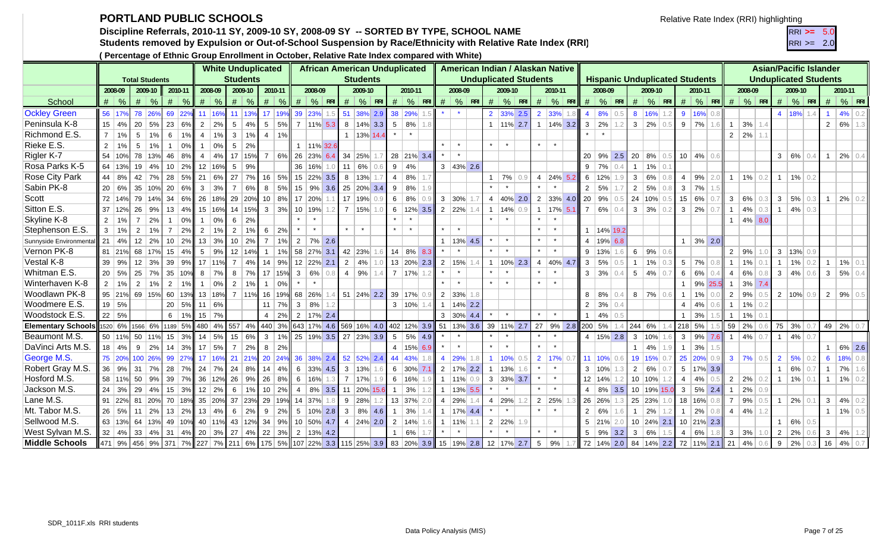# **PORTLAND PUBLIC SCHOOLS**

Discipline Referrals, 2010-11 SY, 2009-10 SY, 2008-09 SY -- SORTED BY TYPE, SCHOOL NAME

**Students removed by Expulsion or Out-of-School Suspension by Race/Ethnicity with Relative Rate Index (RRI)** RRI > 2.0

**( Percentage of Ethnic Group Enrollment in October, Relative Rate Index compared with White)**

#### Relative Rate Index (RRI) highlighting

|                           |                |                    |                                           |    |                    |                                  |                    |                 | <b>White Unduplicated</b> |               |              |                | <b>African American Unduplicated</b>                                                                 |             |                      |                   |                |                        |     |                                              |                              |                |                          |     |                | American Indian / Alaskan Native                      |                                          |              |             |        |                                       |     |                |                       |                   |                                 |                       |                   |                |                 | <b>Asian/Pacific Islander</b> |                              |                 |
|---------------------------|----------------|--------------------|-------------------------------------------|----|--------------------|----------------------------------|--------------------|-----------------|---------------------------|---------------|--------------|----------------|------------------------------------------------------------------------------------------------------|-------------|----------------------|-------------------|----------------|------------------------|-----|----------------------------------------------|------------------------------|----------------|--------------------------|-----|----------------|-------------------------------------------------------|------------------------------------------|--------------|-------------|--------|---------------------------------------|-----|----------------|-----------------------|-------------------|---------------------------------|-----------------------|-------------------|----------------|-----------------|-------------------------------|------------------------------|-----------------|
|                           |                |                    | <b>Total Students</b>                     |    |                    |                                  |                    |                 | <b>Students</b>           |               |              |                |                                                                                                      |             | <b>Students</b>      |                   |                |                        |     |                                              | <b>Unduplicated Students</b> |                |                          |     |                |                                                       |                                          |              |             |        | <b>Hispanic Unduplicated Students</b> |     |                |                       |                   |                                 |                       |                   |                |                 |                               | <b>Unduplicated Students</b> |                 |
|                           |                | 2008-09            | 2009-10                                   |    | 2010-11            |                                  | 2008-09            |                 | 2009-10                   | 2010-11       |              |                | 2008-09                                                                                              |             | 2009-10              |                   |                | 2010-11                |     | 2008-09                                      |                              |                | 2009-10                  |     |                | 2010-11                                               |                                          | 2008-09      |             |        | 2009-10                               |     |                | 2010-11               |                   |                                 | 2008-09               |                   |                | 2009-10         |                               |                              | 2010-11         |
| School                    |                | $\#$ %             | #<br>$\%$                                 | #  | $\frac{9}{6}$      |                                  | $\#$ %             |                 | $\#$ %                    | $\#$ %        |              |                | $\#$ % RRI                                                                                           | #           |                      | $\frac{9}{6}$ RRI |                | $#  %$ RRI             |     | $\#$ % RRI                                   |                              |                | $\#$ % RRI               |     |                | $\#$ % RRI                                            | $\#$ % RRI                               |              |             |        | $\#$ % RRI                            |     |                |                       |                   |                                 | $\#$ % RRI $\#$ % RRI |                   | #              | $\%$ RRI        |                               | #                            | $\mid$ % RRI    |
| <b>Ockley Green</b>       |                | 56 17%             | 78 26%                                    |    | 69 22%             |                                  | 11 16%             |                 | 11 13%                    | 17 19%        |              | 39 23%         |                                                                                                      |             | 51 38%               | 2.9               |                | 38 29%                 |     |                                              |                              |                | 2 33% 2.5                |     |                | $2 \,  33\% $                                         | $\vert$ 4                                | 8%           | 0.5         |        | 8 16% 1.2                             |     |                | 9 16% 0.8             |                   |                                 |                       |                   |                | 4 18% 1.4       |                               | $\mathbf{1}$                 | $4\%$ 0.2       |
| Peninsula K-8             |                | $15 \,   \, 4\%$   | 20 <sup>1</sup><br>5%                     | 23 | 6%                 | 2                                | 2%                 | 5               | 4%                        | $5 \mid 5\%$  |              |                | 7 11% 5.3                                                                                            |             | 8 14% 3.3            |                   | 5 <sup>1</sup> | 8%                     |     |                                              |                              |                |                          |     |                | $1 \mid 11\% \mid 2.7 \mid 1 \mid 14\% \mid 3.2 \mid$ | $\mathbf{3}$                             | 2%           | 1.2         |        | $3   2\%   0.5$                       |     | $9 \mid 7\%$   |                       |                   | 1                               | 3%                    | 1.4               |                |                 |                               |                              | $2   6\%   1.3$ |
| Richmond E.S.             | 7 <sup>1</sup> | 1%                 | 5<br>1%                                   | 6  | $1\%$              | $\overline{4}$                   | 1%                 | 3               | 1%                        | $4 \mid 1\%$  |              |                |                                                                                                      |             | 1 13% 14.4           |                   |                |                        |     |                                              |                              |                |                          |     |                |                                                       |                                          |              |             |        |                                       |     |                |                       |                   | $2 \mid 2\%$                    |                       |                   |                |                 |                               |                              |                 |
| Rieke E.S.                | 2 <sup>1</sup> | 1%                 | 5<br>1%                                   |    | 0%                 | $\overline{1}$                   | 0%                 | 5               | 2%                        |               |              |                | 1 11% 32.6                                                                                           |             |                      |                   |                |                        |     | $\star$                                      |                              | $\star$        |                          |     |                |                                                       |                                          |              |             |        |                                       |     |                |                       |                   |                                 |                       |                   |                |                 |                               |                              |                 |
| Rigler K-7                |                | 54 10%             | 78 13%                                    | 46 | 8%                 | 4                                | 4%                 |                 | 17 15%                    |               |              |                | $7   6\%   26   23\%   6.4$                                                                          | 34 25%      |                      |                   |                | 28 21% 3.4             |     |                                              |                              |                |                          |     |                |                                                       | 20                                       | 9%           |             |        | $2.5$ 20 8% 0.5                       |     | 10   4%        |                       |                   |                                 |                       |                   | 3   6%         |                 | 0.4                           | $\mathbf{1}$                 | $2\%$ 0.4       |
| Rosa Parks K-5            |                | 64 13%             | 19   4%                                   |    | $10 \,   \, 2\%$   |                                  | 12 16%             | $5\overline{)}$ | 9%                        |               |              |                | 36   16%                                                                                             |             | 11   6%              | 0.6               |                | $9   4\%$              |     | $3 43\% 2.6$                                 |                              |                |                          |     |                |                                                       | 9                                        | 7%           | 0.4         |        | $1 \mid 1\%$                          | 0.1 |                |                       |                   |                                 |                       |                   |                |                 |                               |                              |                 |
| Rose City Park            |                | $44 \,   \, 8\%$   | 42 7%                                     |    | 28 5%              |                                  | 21   6%            | 27              | 7%                        | 16 5%         |              |                | 15 22% 3.5                                                                                           |             | 8 13%                |                   | 4 <sup>1</sup> | 8%                     |     |                                              |                              | 1 <sup>1</sup> | 7%                       | 0.9 | $\overline{4}$ | $ 24\% 5.2 $                                          | 6                                        | $12\%$ 1.9   |             |        | $3   6\%   0.8$                       |     | 4   9%         |                       | 2.0               | $\blacksquare$ 1 $\blacksquare$ | $1\%$                 | $\big  0.2 \big $ | $\overline{1}$ | $1\%$ 0.2       |                               |                              |                 |
| Sabin PK-8                |                | 20 6%              | 35 10%                                    |    | 20 6%              | 3 <sup>1</sup>                   | 3%                 | $\overline{7}$  | 6%                        |               | $8 \mid 5\%$ |                | 15 9% 3.6 25 20% 3.4                                                                                 |             |                      |                   | 9              | 8%                     |     |                                              |                              |                |                          |     |                |                                                       | 2   5%                                   |              | 1.7         |        | $2   5\%   0.8$                       |     | $3 \mid 7\%$   |                       |                   |                                 |                       |                   |                |                 |                               |                              |                 |
| <b>Scott</b>              |                | 72 14%             | 79 14% 34 6%                              |    |                    |                                  | 26 18%             |                 | 29 20% 10 8% 17 20%       |               |              |                | 1.1                                                                                                  |             | 17   19%             | 0.9               | 6 <sup>1</sup> | 8%                     | 0.9 | $3 30\% 1.7$                                 |                              |                | $4 40\% 2.0 $            |     |                | $2 \begin{array}{ c c } 2 & 33\% & 4.0 \end{array}$   | 20   9%   0.5   24   10%   0.5   15   6% |              |             |        |                                       |     |                |                       |                   | 3 6%                            |                       | 0.3               | 3 <sup>1</sup> | $5\%$ 0.3       |                               | $\overline{1}$               | $2\%$ 0.2       |
| Sitton E.S.               |                | 37 12%             | 26<br>9%                                  |    | 13   4%            |                                  | 15 16%             |                 | $14$ 15% 3 3%             |               |              |                | $10$ 19% 1.2                                                                                         | $7$ 15% 1.0 |                      |                   |                | $6 12\% 3.5 $          |     | $2 \begin{vmatrix} 22\% & 1.4 \end{vmatrix}$ |                              |                | $1 \vert 14\% \vert 0.9$ |     |                | 1   17%   5.1   7   6%   0.4                          |                                          |              |             |        | $3   3\%   0.2  $                     |     |                | $3   2\%   0.7$       |                   | $\overline{1}$                  | $4\%$ 0.3             |                   |                | $1   4\%   0.3$ |                               |                              |                 |
| Skyline K-8               |                | $2 \mid 1\%$       | 2%<br>$\overline{7}$                      |    | $1   0\%$          | 1 <sup>1</sup>                   | 0%                 | 6               | 2%                        |               |              |                |                                                                                                      |             |                      |                   |                |                        |     |                                              |                              |                |                          |     |                |                                                       |                                          |              |             |        |                                       |     |                |                       |                   |                                 | $4\%$ 8.0             |                   |                |                 |                               |                              |                 |
| Stephenson E.S.           |                | $3 \mid 1\%$       | $\overline{2}$<br> 1%                     |    | $7 \mid 2\%$       | 2                                | 1%                 | 2               | 1%                        | $6 \mid 2\%$  |              |                | $\star$                                                                                              | $\star$     | $\star$              |                   | $\star$        | $\rightarrow$          |     |                                              |                              |                |                          |     | $\star$        |                                                       | $\overline{1}$                           | 14% 19.2     |             |        |                                       |     |                |                       |                   |                                 |                       |                   |                |                 |                               |                              |                 |
| Sunnyside Environmental   |                | $21 \mid 4\%$      | $12 \mid 2\%$                             |    | $10 \mid 2\% \mid$ |                                  | 13 3%              |                 | 10 2%                     |               | $7 \mid 1\%$ |                | $2   7\%   2.6$                                                                                      |             |                      |                   |                |                        |     | $1 \vert 13\% \vert 4.5$                     |                              |                |                          |     | $\star$        | $\star$                                               | $\overline{4}$                           | 19% 6.8      |             |        |                                       |     |                | $1 \mid 3\% \mid 2.0$ |                   |                                 |                       |                   |                |                 |                               |                              |                 |
| Vernon PK-8               |                | 81 21%             | 68 17%                                    |    | $15 \,   \, 4\%$   |                                  | $5 \mid 9\%$       |                 | 12 14%                    |               |              |                | $1   1\%   58   27\%   3.1   42   23\%  $                                                            |             |                      |                   |                | $14$ 8% 8.3            |     |                                              |                              |                |                          |     | $\star$        | $\star$                                               | 9                                        | $13%$ 1.6    |             |        | $6$   9%   0.6                        |     |                |                       |                   | $2 \mid 9\%$                    |                       |                   |                | $3$ 13% 0.9     |                               |                              |                 |
| Vestal K-8                |                | 39 9%              | $12 \mid 3\%$                             |    | 39   9%            |                                  | 17 11%             | $\overline{7}$  | 4%                        | 14   9%       |              |                | $12$ 22% 2.1                                                                                         |             | $2 \mid 4\% \mid$    | $\Omega$ .        |                | 13 20% 2.3             |     | 2 15%                                        | .4                           | $\overline{1}$ | 10% 2.3                  |     | $\overline{4}$ | 40% 4.7                                               | $\mathbf{3}$                             | 5%           | 0.5         |        | $1$   1%   0.3                        |     | $5 \mid 7\%$   |                       | $0.8$ 1           |                                 | 1%                    | 0.1               | $\overline{1}$ | 1%              | 0.2                           | $\mathbf{1}$                 | $1\%$ 0.1       |
| Whitman E.S.              |                | 20 5%              | $25 \mid 7\%$                             |    | 35 10%             | 8                                | 7%                 | 8               | 7%                        | 17 15%        |              | 3 6%           | 0.8                                                                                                  |             | $4 \mid 9\%$         |                   |                | 7   17%                |     |                                              |                              |                |                          |     |                |                                                       | $3 \mid 3\%$                             |              | 0.4         |        | $5   4\%   0.7$                       |     | 6   6%         |                       |                   | $4 \vert$                       | 6%                    | 0.8               |                | 3   4%          | 0.6                           | $\mathbf{3}$                 | $5\%$ 0.4       |
| Winterhaven K-8           |                | $2 \mid 1\%$       | $2 \mid 1\%$                              |    | $2 \mid 1\%$       | $\overline{1}$                   | 0%                 | 2               | 1%                        | $1 \ 0\%$     |              |                |                                                                                                      |             |                      |                   |                |                        |     |                                              |                              |                |                          |     |                |                                                       |                                          |              |             |        |                                       |     | $\mathbf{1}$   | 9% 25.5               |                   | $\overline{1}$                  | $3\%$ 7.4             |                   |                |                 |                               |                              |                 |
| Woodlawn PK-8             |                | 95 21%             | 69 15%                                    |    | 60 13%             |                                  |                    |                 | 13 18% 7 11% 16 19%       |               |              | 68 26%         | 1.4                                                                                                  |             | $51$ 24% 2.2         |                   |                | 39 17%                 |     | $2 \mid 33\% \mid 1.8$                       |                              |                |                          |     |                |                                                       | 8                                        | 8%           | 0.4         |        | $8$   7%   0.6                        |     | $\overline{1}$ | 1%                    |                   | $\overline{2}$                  | 9%                    | 0.5               |                | $2 10\% 0.9$    |                               |                              | $2   9\%   0.5$ |
| Woodmere E.S.             |                | 19 5%              |                                           |    | 20   5%            |                                  | 11   6%            |                 |                           | $11$ 7%       |              | 3 <sup>1</sup> | 8%                                                                                                   |             |                      |                   |                | $3   10\%  $           |     | $1 \vert 14\% \vert 2.2$                     |                              |                |                          |     |                |                                                       | 2                                        | 3%           | $\vert 0.4$ |        |                                       |     | 4 <sup>1</sup> | 4%                    |                   | $\overline{1}$                  | $1\%$                 | 0.2               |                |                 |                               |                              |                 |
| Woodstock E.S.            |                | 22   5%            |                                           |    | $6 \mid 1\%$       |                                  | $15 \mid 7\%$      |                 |                           | $4 \mid 2\%$  |              |                | $2 \mid 17\% \mid 2.4$                                                                               |             |                      |                   |                |                        |     | $3 30\% 4.4$                                 |                              |                | $\star$                  |     | $\star$        | $\star$                                               | $\overline{1}$                           | 4%           | 05          |        |                                       |     | $\mathbf{1}$   | 3%                    |                   |                                 | $1\%$                 |                   |                |                 |                               |                              |                 |
| <b>Elementary Schools</b> |                | 1520 6%            | 1566 6%                                   |    | 1189 5%            |                                  |                    |                 | 480 4% 557 4% 440 3%      |               |              |                | 643 17% 4.6 569 16% 4.0 402 12% 3.9                                                                  |             |                      |                   |                |                        |     | 51 13% 3.6                                   |                              |                | 39 11% 2.7               |     | 27             | $9\%$ 2.8                                             | $200$ 5%                                 |              |             | 244 6% |                                       |     | 218 5%         |                       |                   | $59 \mid 2\%$                   |                       |                   | 75 3%          |                 |                               | $49 \mid 2\% \mid$           |                 |
| Beaumont M.S.             |                | 50 11%             | 50 11%                                    |    | $15 \,   \, 3\%$   |                                  | 14   5%            |                 | 15 6%                     |               |              |                | 3 1% 25 19% 3.5 27 23% 3.9                                                                           |             |                      |                   |                | $5   5\%   4.9$        |     |                                              |                              | $\star$        |                          |     | $\star$        |                                                       | $4$   15% 2.8                            |              |             |        | $3 10\% 1$                            |     |                | $3   9\%   7.6$       |                   | 1 <sup>1</sup>                  | 4%                    |                   |                | 1   4%          |                               |                              |                 |
| DaVinci Arts M.S.         |                | 18   4%            | $9 \mid 2\%$                              |    | $14 \mid 3\%$      |                                  | 17   5%            | $\overline{7}$  | 2%                        | $8 \mid 2\%$  |              |                |                                                                                                      |             |                      |                   |                | $4 \mid 15\% \mid 6.9$ |     | $\star$                                      |                              |                |                          |     |                |                                                       |                                          |              |             |        | $1 \mid 4\%$                          | 1.9 | 1 <sup>1</sup> | 3%                    |                   |                                 |                       |                   |                |                 |                               |                              | $6\%$ 2.6       |
| George M.S.               |                | 75 20%             | 100 26%                                   |    | 99 27%             |                                  | $17 \mid 16\%$     |                 | 21 21%                    |               |              |                | 20 24% 36 38% 2.4 52 52% 2.4 44 43% 1.8                                                              |             |                      |                   |                |                        |     | 4 29% 1.8                                    |                              |                | $1   10\%$               | 0.5 |                | 2   17%                                               | $11$ 10% 0.6                             |              |             |        | 19 15% 0.7 25 20% 0.9 3 7%            |     |                |                       |                   |                                 |                       | 0.5               | 2 <sup>1</sup> | 5%              | 0.2                           | 6                            | 18% 0.8         |
| Robert Gray M.S.          |                | 36   9%            | $31 \mid 7\%$                             |    | $28$ 7%            |                                  | $24$ 7% 24 8%      |                 |                           | 14   4%       |              |                | 6 33% 4.5 3 13%                                                                                      |             |                      | 1.6               |                | $6$ 30% 7.1            |     | $2 \mid 17\% \mid 2.2 \mid$                  |                              |                | 13%11.6                  |     |                |                                                       | $3$   10%   1.3                          |              |             |        | $2   6\%   0.7$                       |     |                | $5 17\% 3.9 $         |                   |                                 |                       |                   | $\overline{1}$ | 6%              | 0.7                           | $\mathbf{1}$                 | 7% 1.6          |
| Hosford M.S.              |                |                    | 58 11% 50 9%                              |    | 39   7%            |                                  | 36 12% 26 9%       |                 |                           | 26 8%         |              |                | 6 $16\%$ 1.3                                                                                         |             | 7   17%              |                   |                | $6 16\% $              | 1.9 | $1$   11%   0.9                              |                              |                | $3 33\% 3.7 $            |     |                | $\star$                                               | $12$ 14% 1.2                             |              |             |        | 10 10% 1.2                            |     | 4   4%         |                       | 0.5               | $2 \mid 2\%$                    |                       | $\vert 0.2 \vert$ | $\overline{1}$ | 1%              |                               | $\mathbf{1}$                 | $1\%$ 0.2       |
| Jackson M.S.              |                | $24 \mid 3\% \mid$ | $29 \mid 4\%$                             |    | $15 \,   \, 3\%$   |                                  | $12 \mid 2\% \mid$ |                 | $6 \mid 1\%$              | 10   2%       |              |                | $4$ 8% 3.5 11 20% 15.6                                                                               |             |                      |                   | $\overline{1}$ | 3%                     |     | $1   13\%   5.5$                             |                              |                |                          |     |                | $\star$                                               | $\overline{4}$                           | $8\%$ 3.5    |             |        | 10 19% 15.0                           |     |                |                       | $3   5\%   2.4  $ |                                 | 2%                    | 0.9               |                |                 |                               |                              |                 |
| Lane M.S.                 |                |                    | 91 22% 81 20% 70 18% 35 20% 37 23% 29 19% |    |                    |                                  |                    |                 |                           |               |              |                | 14 37% 1.8                                                                                           |             | $9 \vert 28\% \vert$ | 1.2               |                | 13 37%                 |     | 4 29% $1.4$                                  |                              |                | $4 29\% $                |     |                | 2 25%                                                 | 26                                       | $ 26\% $ 1.3 |             |        | $25$ 23% 1.0                          |     |                | 18 16% 0.8            |                   | $\blacksquare$                  | $9\%$ 0.5             |                   | 1 <sup>1</sup> | 2%              |                               | $\mathbf{3}$                 | $4\%$ 0.2       |
| Mt. Tabor M.S.            |                | $26$ 5%            | $11 \ 2%$                                 |    | 13   2%            |                                  | 13   4%            |                 | $6 \mid 2\%$              | $9 \mid 2\%$  |              |                | $5 10\% 2.8 3 $                                                                                      |             |                      | 8% 4.6            | 1 <sup>1</sup> | 3%                     |     | $1 \mid 17\% \mid 4.4$                       |                              |                |                          |     | $\star$        | $\star$                                               | $\overline{2}$                           | 6%           | 1.6         |        | 1   2%   1.2                          |     | $1 \mid 2\%$   |                       |                   | 4                               | $4\%$ 1.2             |                   |                |                 |                               | 1                            | 1% 0.5          |
| Sellwood M.S.             |                |                    | 63 13% 64 13%                             |    | 49 10%             |                                  |                    |                 | 40 11% 43 12% 34 9%       |               |              |                | 10 $50\%$ 4.7 4 24% 2.0                                                                              |             |                      |                   |                | 2   14%                |     | 1   11%                                      |                              |                | 2 22%                    |     |                |                                                       |                                          | $5$ 21% 2.0  |             |        | 10 24% 2.1 10 21% 2.3                 |     |                |                       |                   |                                 |                       |                   | $\overline{1}$ | 6%              | 0.5                           |                              |                 |
| West Sylvan M.S.          |                |                    | $32$ 4% 33 4%                             |    |                    | $31   4\%   20   3\%   27   4\%$ |                    |                 |                           | $22 \mid 3\%$ |              |                | $2 \mid 13\% \mid 4.2$                                                                               |             |                      |                   | 1              | 6%                     |     |                                              |                              | $\star$        |                          |     | $\star$        | $\star$                                               | $5 -$                                    | 9%           | $3.2$       | 3   6% |                                       |     | 4   6%         |                       |                   | $3 \mid 3\%$                    |                       |                   | 2              | 2%              |                               | 3 <sup>1</sup>               | 4%              |
| <b>Middle Schools</b>     |                |                    |                                           |    |                    |                                  |                    |                 |                           |               |              |                | 471 9% 456 9% 371 7% 227 7% 211 6% 175 5% 107 22% 3.3 115 25% 3.9 83 20% 3.9 15 19% 2.8 12 17% 2.7 5 |             |                      |                   |                |                        |     |                                              |                              |                |                          |     |                | 9%                                                    | 72 14% 2.0 84 14% 2.2 72 11% 2.1 21 4%   |              |             |        |                                       |     |                |                       |                   |                                 |                       |                   | $9 \mid 2\%$   |                 | 0.3                           |                              | 16 $ 4\% $ 0.7  |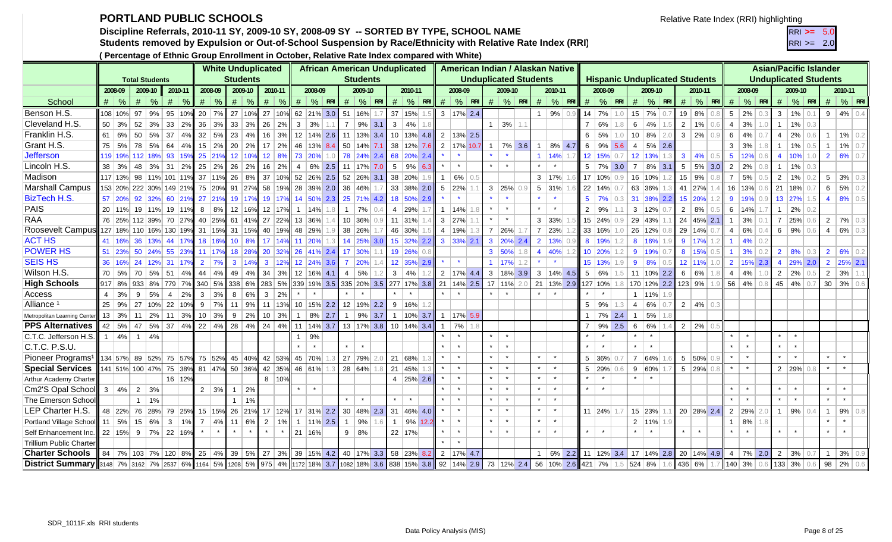# **PORTLAND PUBLIC SCHOOLS**

Discipline Referrals, 2010-11 SY, 2009-10 SY, 2008-09 SY -- SORTED BY TYPE, SCHOOL NAME

**Students removed by Expulsion or Out-of-School Suspension by Race/Ethnicity with Relative Rate Index (RRI)** RRI > 2.0

**( Percentage of Ethnic Group Enrollment in October, Relative Rate Index compared with White)**

#### Relative Rate Index (RRI) highlighting

|                                                                                                                                               |              |                                           |         |               |                                                |             |                | <b>White Unduplicated</b> |                    |              |                | <b>African American Unduplicated</b>                      |         |                  |     |                |                       |         |                |                          |         |                              |     |                | American Indian / Alaskan Native |                 |                  |                |                 |                                       |              |             |                 |         |                   |                | <b>Asian/Pacific Islander</b> |     |                              |                       |
|-----------------------------------------------------------------------------------------------------------------------------------------------|--------------|-------------------------------------------|---------|---------------|------------------------------------------------|-------------|----------------|---------------------------|--------------------|--------------|----------------|-----------------------------------------------------------|---------|------------------|-----|----------------|-----------------------|---------|----------------|--------------------------|---------|------------------------------|-----|----------------|----------------------------------|-----------------|------------------|----------------|-----------------|---------------------------------------|--------------|-------------|-----------------|---------|-------------------|----------------|-------------------------------|-----|------------------------------|-----------------------|
|                                                                                                                                               |              | <b>Total Students</b>                     |         |               |                                                |             |                | <b>Students</b>           |                    |              |                |                                                           |         | <b>Students</b>  |     |                |                       |         |                |                          |         | <b>Unduplicated Students</b> |     |                |                                  |                 |                  |                |                 | <b>Hispanic Unduplicated Students</b> |              |             |                 |         |                   |                |                               |     | <b>Unduplicated Students</b> |                       |
|                                                                                                                                               | 2008-09      | 2009-10                                   | 2010-11 |               | 2008-09                                        |             | 2009-10        |                           | 2010-11            |              |                | 2008-09                                                   |         | 2009-10          |     |                | 2010-11               |         |                | 2008-09                  |         | 2009-10                      |     |                | 2010-11                          |                 | 2008-09          |                |                 | 2009-10                               | 2010-11      |             |                 | 2008-09 |                   |                | 2009-10                       |     |                              | 2010-11               |
| School                                                                                                                                        | $\#$ %       | $\frac{0}{0}$<br>#                        | #       | $\%$          | $\#$ %                                         |             | #              | $\frac{9}{6}$             | $\#$ \%            |              |                | $\#$ % RRI                                                |         | $\#$ % RRI       |     |                | $\#$ % RRI            |         |                | $\#$ % RRI               |         | $#$ % RRI                    |     |                | $\#$ % RRI                       |                 |                  | $\#$ % RRI     |                 | $\#$ % RRI                            |              | $\#$ % RRI  | #               |         | $\frac{9}{6}$ RRI | #              | $\frac{9}{6}$ RRI             |     |                              | $\#$ % RRI            |
| Benson H.S.                                                                                                                                   | 108 10%      | 97<br>9%                                  |         |               | 95 10% 20 7% 27 10%                            |             |                |                           |                    |              |                | 27 10% 62 21% 3.0 51 16%                                  |         |                  |     |                | $37$ 15%              |         |                | $3 17\% 2.4$             |         |                              |     | 1 <sup>1</sup> | 9%                               |                 |                  | $14$ 7% 1.0    |                 | $15$ 7% 0.7                           | 19 8%        | 0.8         | $5\overline{)}$ | 2%      | 0.3               | $\mathbf{3}$   | 1%                            | 0.1 |                              | $9   4\%   0.4$       |
| Cleveland H.S.                                                                                                                                |              | $50$ 3% 52 3%                             | 33      | $ 2\% $       | 36                                             | $3\%$ 33 3% |                |                           | $26$ 2%            |              | $3 \mid 3\%$   | 1.1                                                       |         | $7   9\%   3.1 $ |     |                | $3 \mid 4\%$          |         |                |                          |         | $1   3\%  $                  | 1.1 |                |                                  | $\overline{7}$  | 6%               | 1.8            |                 | 6   4%<br>1.5                         | $2 \mid 1\%$ | 0.6         | $\overline{4}$  | 3%      | 1.0               |                | $1\%$                         | 0.3 |                              |                       |
| Franklin H.S.                                                                                                                                 | 61   6%      | 50 5%                                     |         |               | 37 4% 32 5% 23 4%                              |             |                |                           | $16 \mid 3\% \mid$ |              |                | 12 14% 2.6 11 13% 3.4 10 13% 4.8                          |         |                  |     |                |                       |         |                | $2 \mid 13\% \mid 2.5$   |         |                              |     |                |                                  | 6               | 5%               | 1.0            |                 | 10 8% $2.0$                           | $3 2\% $     | 0.9         | 6               | 4%      | 0.7               | 4 <sup>1</sup> | 2%                            | 0.6 |                              | $1$   1%   0.2        |
| Grant H.S.                                                                                                                                    | 75 5%        | 78 5%                                     | 64      | 4% I          |                                                | 15 2% 20 2% |                |                           | $17 \mid 2\% \mid$ |              |                | 46 13% 8.4 50 14% 7.1 38 12% 7.6                          |         |                  |     |                |                       |         |                | 2 17% 10.7               | 1       | 7% 3.6                       |     |                | $8\%$ 4.7                        | 6               |                  | $9\%$ 5.6      |                 | $4   5\%   2.6$                       |              |             | $\mathbf{3}$    | 3%      | 1.8               |                | $1\%$                         | 0.5 | 1                            | $1\%$ 0.7             |
| <b>Jefferson</b>                                                                                                                              | 119 19%      | 112 18%                                   |         |               | 93 15% 25 21%                                  |             |                | 12 10%                    | $12 \,   \, 8\%  $ |              |                | 73 20% 1.0 78 24% 2.4 68 20% 2.4                          |         |                  |     |                |                       |         |                |                          |         |                              |     | $\mathbf{1}$   | 14%                              |                 |                  | 12 15% 0.7     |                 | 12 13% 1.3                            | $3 \mid 4\%$ | 0.5         | 5 <sup>5</sup>  | 12%     | 0.6               | $\vert$ 4      | 10% 1.0                       |     |                              | $2   6\%   0.7 $      |
| Lincoln H.S.                                                                                                                                  | 38 3%        | 48 3%                                     |         |               | 31   2%   25   2%   26   2%                    |             |                |                           | $16 \mid 2\%$      |              |                | $4   6\%   2.5   11   17\%   7.0  $                       |         |                  |     |                | $5 \mid 9\% \mid 6.3$ |         |                |                          |         |                              |     |                |                                  | 5 <sup>1</sup>  |                  | $7\%$ 3.0      |                 | $7   8\%   3.1 $                      |              | $5 5\% 3.0$ | 2               | 2%      | 0.8               |                | 1%                            | 0.3 |                              |                       |
| Madison                                                                                                                                       |              | 117 13% 98 11%                            |         |               | 101 11% 37 11% 26 8%                           |             |                |                           |                    |              |                | 37 10% 52 26% 2.5 52 26% 3.1 38 20%                       |         |                  |     |                |                       |         | 1 <sup>1</sup> | 6% 0.5                   |         |                              |     | 3 <sup>1</sup> | 17%                              |                 |                  | 17 10% 0.9     |                 | 16 10% 1.2                            | 15 9%        |             | $7\overline{ }$ | 5%      | $0.5^{\circ}$     | 2              | 1%                            | 0.2 |                              | $5 \mid 3\% \mid 0.3$ |
| <b>Marshall Campus</b>                                                                                                                        |              | 153 20% 222 30%                           |         |               | 149 21% 75 20% 91 27%                          |             |                |                           |                    |              |                | 58 19% 28 39% 2.0 36 46%                                  |         |                  |     |                | 33 38% 2.0            |         |                | 5 22%                    |         | 3 25%                        |     | $5^{\circ}$    | 31%                              |                 |                  | 22 14% 0.7     |                 | 63 36% 1                              | 41 27%       |             | 16 13%          |         |                   |                | 21   18%                      | 0.7 | 6                            | $5\%$ 0.2             |
| <b>BizTech H.S.</b>                                                                                                                           | 57 20%       | 92 32%                                    | 60      |               | 21% 27 21%                                     |             | 19 17%         |                           | 19 17%             |              |                | 14 50% 2.3 25 71% 4.2                                     |         |                  |     |                | 18 50% 2.9            |         |                |                          |         |                              |     |                |                                  | $5\phantom{.0}$ | 7%               | 0.3            |                 | 31 38% 2.2                            | 15 20%       |             |                 |         | $9$ 19% 0.9       |                | 13 27%                        | 1.5 | $\overline{4}$               | 8% 0.5                |
| <b>PAIS</b>                                                                                                                                   |              | 20 11% 19 11%                             |         | 19 11%        |                                                | 8 8% 12 16% |                |                           | 12 17%             |              |                | $1 \mid 14\% \mid 1.8$                                    |         | $1 \mid 7\%$     | 0.4 |                | 4 29%                 |         |                | $1 \mid 14\%$            |         |                              |     |                | $\star$                          | 2               | 9%               |                |                 | $3$   12% 0.7                         | $2 \mid 8\%$ |             | 6 14%           |         |                   |                | 2%                            | 0.2 |                              |                       |
| <b>RAA</b>                                                                                                                                    |              | 76 25% 112 39%                            |         |               | 70 27% 40 25% 61 41%                           |             |                |                           | 27 22%             |              |                | 13 36% 1.4                                                |         | $10 36\% $       | 0.9 |                | 11 31%                |         |                | 3 27%                    |         |                              |     | $3 \mid 33\%$  |                                  |                 |                  | 15 24% 0.9     |                 | 29 43% 1.1                            |              | 24 45% 2.1  | $\overline{1}$  | 3%      | 0.1               | $\overline{7}$ | 25%                           | 0.6 | 2   7%                       | 0.3                   |
| Roosevelt Campus 127 18% 110 16%                                                                                                              |              |                                           |         |               | 130 19% 31 15% 31 15%                          |             |                |                           |                    |              |                | 40 19% 48 29% 1.9 38 26%                                  |         |                  |     |                | 46 30%                |         |                | 4   19%   1.3            | 7 26%   |                              |     | $\overline{7}$ | 23%                              |                 |                  | 33   16%   1.0 |                 | 26 12% 0.8                            | 29 14%       | 0.7         | $\overline{4}$  | $6\%$   | 0.4               |                | $6   9\%  $                   | 0.6 | $\overline{4}$               | 6% 0.3                |
| <b>ACT HS</b>                                                                                                                                 |              | 41 16% 36 13%                             |         |               | 44 17% 18 16%                                  |             |                | 10 8%                     | 17 14%             |              |                | 11 20% 1.3 14 25% 3.0 15 32% 2.2                          |         |                  |     |                |                       |         |                | $3 \times 33\%$ 2.1      |         | 3 20% 2.4                    |     | $2^{\circ}$    | 13%                              |                 |                  | 8 19% 1.2      |                 | 8 16% 1.9                             |              | $9$ 17% 1.2 | $\overline{1}$  | 4%      | 0.2               |                |                               |     |                              |                       |
| <b>POWER HS</b>                                                                                                                               |              | 51 23% 50 24%                             |         | 55 23%        |                                                | 11 17%      |                | 18 28%                    | 20 32%             |              |                | 26 41% 2.4 17 30% 1.1                                     |         |                  |     |                | 19 26%                | 0.8     |                |                          |         | $3   50\% $                  | 1.8 | $\overline{4}$ | 40%                              |                 |                  | 10 20% 1.2     |                 | 9 19% 0.7                             | 8 15%        | 0.5         | $\mathbf{1}$    | 3%      | $0.2^{\circ}$     |                | $2   8\%  $                   | 0.3 |                              | $2   6\%   0.2$       |
| <b>SEIS HS</b>                                                                                                                                |              | 36 16% 24 12%                             |         | 31 17%        |                                                |             |                | 2 7% 3 14%                | $3 \mid 12\%$      |              |                | 12 24% 3.6 7 20% 1.4                                      |         |                  |     |                | 12 35% 2.9            |         |                | $\star$                  |         | 1   17%                      |     |                |                                  |                 |                  | 15 13% 1.9     |                 | $9   8\%   0.5$                       | 12 11%       |             |                 |         | $2 15%$ 2.3       |                | 4 29% 2.0                     |     |                              | 2 25% 2.1             |
| Wilson H.S.                                                                                                                                   |              | 70 5% 70 5%                               |         | $51 \mid 4\%$ | $44 \mid 4\%$                                  |             |                | 49 4%                     | 34 3%              |              |                | $12 16\% 4.1 4 5\%$                                       |         |                  |     |                | $3 \mid 4\%$          |         |                | 2 17% 4.4                |         |                              |     |                | $3 18\% 3.9 3 14\% 4.5$          |                 | $5 \mid 6\%$     |                |                 | $11$ 10% 2.2                          | 6   6%       |             | $\overline{4}$  | 4%      |                   |                | $2 \mid 2\%$                  |     | $2 \mid 3\% \mid 1.7$        |                       |
| <b>High Schools</b>                                                                                                                           |              | 917 8% 933 8% 779 7% 340 5% 338 6% 283 5% |         |               |                                                |             |                |                           |                    |              |                | 339 19% 3.5 335 20% 3.5 277 17% 3.8 21 14% 2.5 17 11%     |         |                  |     |                |                       |         |                |                          |         |                              |     |                | 21 13% 2.9                       |                 | 127 10%          |                |                 | 170 12% 2.2 123 9%                    |              |             | 56   4%         |         |                   |                | $45 \mid 4\%$                 |     | $30 \mid 3\% \mid 0.$        |                       |
| Access                                                                                                                                        | $4 \mid 3\%$ | $\vert 9 \vert$<br>5%                     |         | $4 \mid 2\%$  | $3 \mid 3\%$                                   |             | 8              | 6%                        | $3 \mid 2\%$       |              |                |                                                           | $\star$ |                  |     |                |                       |         |                |                          | $\star$ |                              |     |                |                                  |                 | $\star$          |                |                 | $1 \mid 11\% \mid 1$                  |              |             |                 |         |                   |                |                               |     |                              |                       |
| Alliance <sup>1</sup>                                                                                                                         |              | 25 9% 27 10%                              |         | 22 10%        |                                                |             |                | $9$ 7% 11 9%              |                    |              |                | 11 13% 10 15% 2.2 12 19% 2.2 9 16%                        |         |                  |     |                |                       |         |                |                          |         |                              |     |                |                                  | $5\phantom{.0}$ | 9%               | 1.3            | 4 <sup>1</sup>  | 6%<br>0.7                             | $2   4\%  $  | 0.3         |                 |         |                   |                |                               |     |                              |                       |
| Metropolitan Learning Center                                                                                                                  |              | $13 \mid 3\% \mid 11 \mid 2\%$            |         |               | $11 \mid 3\% \mid 10 \mid 3\% \mid 9 \mid 2\%$ |             |                |                           | 10 3%              |              |                | $1   8\%   2.7   1  $                                     |         |                  |     |                | 9% 3.7 1 10% 3.7      |         |                | $1 \vert 17\% \vert 5.9$ |         |                              |     |                |                                  | $\overline{1}$  |                  | 7% 2.4         | $\overline{1}$  | 5%                                    |              |             |                 |         |                   |                |                               |     |                              |                       |
| <b>PPS Alternatives</b>                                                                                                                       |              | 42 5% 47 5%                               |         |               | 37 4% 22 4%                                    |             |                | $28 \mid 4\% \mid$        | $24 \mid 4\% \mid$ |              |                | 11 $ 14\% $ 3.7 13 17% 3.8                                |         |                  |     |                | 10 14% 3.4            |         |                | 7%                       |         |                              |     |                |                                  | $\overline{7}$  |                  | $9\%$ 2.5      | $6\overline{6}$ | 6%                                    | $2 \mid 2\%$ |             |                 |         |                   |                |                               |     |                              |                       |
| C.T.C. Jefferson H.S.                                                                                                                         | $1 \t 4\%$   | 4%<br>$\overline{1}$                      |         |               |                                                |             |                |                           |                    |              | 1 <sup>1</sup> | 9%                                                        |         |                  |     |                |                       |         |                |                          |         |                              |     |                |                                  |                 |                  |                |                 |                                       |              |             |                 |         |                   |                |                               |     |                              |                       |
| C.T.C. P.S.U.                                                                                                                                 |              |                                           |         |               |                                                |             |                |                           |                    |              |                |                                                           |         |                  |     |                |                       |         |                |                          |         |                              |     |                |                                  |                 |                  |                |                 |                                       |              |             |                 |         |                   |                | $\star$                       |     |                              |                       |
| Pioneer Programs <sup>1</sup>                                                                                                                 |              | 134 57% 89 52%                            |         |               | 75 57% 75 52%                                  |             |                | 45 40%                    | 42 53%             |              | 45 70%         | 1.3                                                       |         | 27 79%           |     |                | 21 68%                |         |                |                          |         |                              |     |                |                                  |                 | $5 36\% $        |                |                 | 7 64%                                 | 5 50%        |             |                 |         |                   |                |                               |     |                              |                       |
| <b>Special Services</b>                                                                                                                       |              | 141 51% 100 47%                           |         | 75 38%        | 81 47%                                         |             | 50 36%         |                           | 42 35%             |              | 46 61%         |                                                           |         | 28 64%           |     |                | 21 45%                |         |                |                          | $\star$ |                              |     |                |                                  |                 | $5 29\% $        |                |                 | $9   60\%$                            | 5 29%        |             |                 |         |                   |                | 2 29%                         |     |                              |                       |
| Arthur Academy Charter                                                                                                                        |              |                                           |         | 16 12%        |                                                |             |                |                           | 8 10%              |              |                |                                                           |         |                  |     |                | 4 25% 2.6             |         |                |                          |         |                              |     |                |                                  |                 |                  |                |                 |                                       |              |             |                 |         |                   |                |                               |     |                              |                       |
| Cm2'S Opal School                                                                                                                             | $3 \mid 4\%$ | 2<br>3%                                   |         |               | $2 \mid 3\%$                                   |             | $\overline{1}$ | 2%                        |                    |              |                |                                                           |         |                  |     |                |                       |         |                |                          |         |                              |     |                | $\star$                          | $\star$         |                  |                |                 |                                       |              |             |                 |         |                   |                |                               |     |                              |                       |
| The Emerson School                                                                                                                            |              | 1%<br>$\mathbf{1}$                        |         |               |                                                |             | $\mathbf{1}$   | 1%                        |                    |              |                |                                                           |         |                  |     |                |                       |         |                |                          |         |                              |     | $\star$        | $\star$                          |                 |                  |                |                 |                                       |              |             |                 |         |                   |                |                               |     |                              | $\star$               |
| LEP Charter H.S.                                                                                                                              |              | 48 22% 76 28%                             |         |               | 79 25% 15 15% 26 21%                           |             |                |                           |                    |              |                | 17 12% 17 31% 2.2 30 48% 2.3 31 46% 4.0                   |         |                  |     |                |                       |         |                |                          |         |                              |     |                | $\star$                          |                 | $11 \,   24\%  $ |                |                 | 15 23% 1                              |              | 20 28% 2.4  |                 | 2 29%   |                   |                | 9%                            |     | $\mathbf{1}$                 | 9%                    |
| Portland Village School                                                                                                                       |              | $11   5\%   15   6\%$                     |         | $3 \mid 1\%$  | <b>7</b>                                       | 4%          | 11   6%        |                           |                    | $2 \mid 1\%$ |                | $1 \mid 11\% \mid 2.5 \mid 1 \mid$                        |         | 9%               | 1.6 | 1 <sup>1</sup> |                       | 9% 12.2 |                |                          |         |                              |     |                | $\star$                          |                 |                  |                |                 | $2$ 11% 1.9                           |              |             |                 | 8%      |                   |                |                               |     |                              |                       |
| Self Enhancement Inc.                                                                                                                         |              | 22 15% 9 7%                               |         | 22 16%        |                                                |             |                |                           |                    |              | $21   16\%$    |                                                           |         | 9   8%           |     |                | 22 17%                |         |                |                          |         |                              |     |                | $\star$                          |                 |                  |                |                 |                                       |              |             |                 |         |                   |                |                               |     |                              |                       |
| Trillium Public Charter                                                                                                                       |              |                                           |         |               |                                                |             |                |                           |                    |              |                |                                                           |         |                  |     |                |                       |         |                |                          |         |                              |     |                |                                  |                 |                  |                |                 |                                       |              |             |                 |         |                   |                |                               |     |                              |                       |
| <b>Charter Schools</b>                                                                                                                        |              | 84 7% 103 7%                              |         |               |                                                |             |                |                           |                    |              |                | 120 8% 25 4% 39 5% 27 3% 39 15% 4.2 40 17% 3.3 58 23% 8.2 |         |                  |     |                |                       |         |                | $2 17\% 4.7$             |         |                              |     | $-1$           | 6% 2.2                           |                 |                  |                |                 | 11 12% 3.4 17 14% 2.8 20 14% 4.9      |              |             | $\overline{4}$  |         | 7% 2.0            | 2              | 3%                            |     | 3%                           |                       |
| <b>District Summary</b> 3148 7% 3162 7% 2537 6% 1164 5% 1208 5% 975 4% 1172 18% 3.7 1082 18% 3.6 838 15% 3.8 92 14% 2.9 73 12% 2.4 56 10% 2.6 |              |                                           |         |               |                                                |             |                |                           |                    |              |                |                                                           |         |                  |     |                |                       |         |                |                          |         |                              |     |                |                                  |                 |                  |                |                 | 421 7% 1.5 524 8%<br>1.6              | 436 6%       |             | $140$ 3%        |         | 0.6               |                | $133$ 3%                      | 0.6 | 98   2%                      |                       |